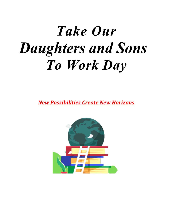# *Take Our Daughters and Sons To Work Day*

*New Possibilities Create New Horizons*

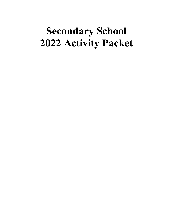# **Secondary School 2022 Activity Packet**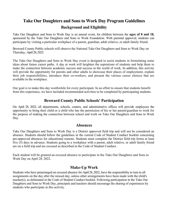# **Take Our Daughters and Sons to Work Day Program Guidelines Background and Eligibility**

Take Our Daughters and Sons to Work Day is an annual event, for children between the **ages of 8 and 18,**  sponsored by the Take Our Daughters and Sons to Work Foundation. With parental approval, students can participate by visiting a particular workplace of a parent, guardian, adult relative, or adult family friend.

Broward County Public schools will observe the National Take Our Daughters and Sons to Work Day on Thursday, April 28, 2022.

The Take Our Daughters and Sons to Work Day event is designed to assist students in formulating some ideas about future career paths. A day at work will heighten the aspirations of students and help them to make the connection between academic success and success in the world of work. In addition, this activity will provide the opportunity for parents and other adults to showcase their places of employment, explain their job responsibilities, introduce their co-workers, and present the various career choices that are available in the workplace.

Our goal is to make this day worthwhile for every participant. In an effort to ensure that students benefit from this experience, we have included recommended activities to be completed by participating students.

#### **Broward County Public Schools' Participation**

On April 28, 2022, all departments, schools, centers, and administrative offices will provide employees the opportunity to bring their child or a child who has the permission of his or her parent/guardian to work for the purpose of making the connection between school and work on Take Our Daughters and Sons to Work Day.

#### **Absences**

Take Our Daughters and Sons to Work Day is a District approved field trip and will not be considered an absence. Students should follow the guidelines in the current Code of Student Conduct booklet concerning pre-approved absences for educational reasons. Students must complete the District field trip forms at least five (5) days in advance. Students going to a workplace with a parent, adult relative, or adult family friend are on a field trip and are excused as described in the Code of Student Conduct.

Each student will be granted an excused absence to participate in the Take Our Daughters and Sons to Work Day on April 28, 2022.

#### **Make-Up Work**

Students who have prearranged an excused absence for April 28, 2022, have the responsibility to turn in all assignments on the day after the missed day, unless other arrangements have been made with the child's teacher(s), as delineated in the Code of Student Conduct booklet. Following participation in the Take Our Daughters and Sons to Work Day, principals and teachers should encourage the sharing of experiences by students who participate in this activity.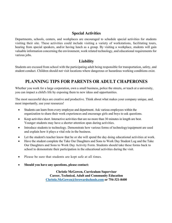#### **Special Activities**

Departments, schools, centers, and workplaces are encouraged to schedule special activities for students visiting their site. These activities could include visiting a variety of workstations, facilitating tours, hearing from special speakers, and/or having lunch as a group. By visiting a workplace, students will gain valuable information concerning the environment, work related technology, and educational requirements for various jobs.

#### **Liability**

Students are excused from school with the participating adult being responsible for transportation, safety, and student conduct. Children should not visit locations where dangerous or hazardous working conditions exist.

### **PLANNING TIPS FOR PARENTS OR ADULT CHAPERONES**

Whether you work for a large corporation, own a small business, police the streets, or teach at a university, you can impact a child's life by exposing them to new ideas and opportunities.

The most successful days are creative and productive. Think about what makes your company unique, and, most importantly, use your resources!

- Students can learn from every employee and department. Ask various employees within the organization to share their work experiences and encourage girls and boys to ask questions.
- Keep activities short. Interactive activities that are no more than 30 minutes in length are best. Younger students may have a shorter attention span during activities.
- Introduce students to technology. Demonstrate how various forms of technology/equipment are used and explain how it plays a vital role in the business.
- Let the student's teacher know that he or she will spend the day doing educational activities at work.
- Have the student complete the Take Our Daughters and Sons to Work Day Student Log and the Take Our Daughters and Sons to Work Day Activity Form. Students should take these forms back to school to demonstrate their participation in the educational activities during the visit.
- Please be sure that students are kept safe at all times.
- **Should you have any questions, please contact:**

**Christie McGowen, Curriculum Supervisor Career, Technical, Adult and Community Education [Christie.McGowen@browardschools.com](mailto:Christie.McGowen@browardschools.com) or 754-321-8400**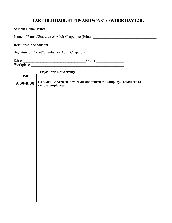## **TAKE OUR DAUGHTERS AND SONS TO WORK DAY LOG**

| Name of Parent/Guardian or Adult Chaperone (Print) ______________________________ |                                                                                                 |  |  |  |
|-----------------------------------------------------------------------------------|-------------------------------------------------------------------------------------------------|--|--|--|
|                                                                                   | Relationship to Student Management of the Student Contract of the Student                       |  |  |  |
|                                                                                   | Signature of Parent/Guardian or Adult Chaperone ________________________________                |  |  |  |
|                                                                                   |                                                                                                 |  |  |  |
|                                                                                   |                                                                                                 |  |  |  |
| <b>TIME</b>                                                                       | Explanation of Activity                                                                         |  |  |  |
| 8:00-8:30                                                                         | <b>EXAMPLE: Arrived at worksite and toured the company. Introduced to</b><br>various employees. |  |  |  |
|                                                                                   |                                                                                                 |  |  |  |
|                                                                                   |                                                                                                 |  |  |  |
|                                                                                   |                                                                                                 |  |  |  |
|                                                                                   |                                                                                                 |  |  |  |
|                                                                                   |                                                                                                 |  |  |  |
|                                                                                   |                                                                                                 |  |  |  |
|                                                                                   |                                                                                                 |  |  |  |
|                                                                                   |                                                                                                 |  |  |  |
|                                                                                   |                                                                                                 |  |  |  |
|                                                                                   |                                                                                                 |  |  |  |
|                                                                                   |                                                                                                 |  |  |  |
|                                                                                   |                                                                                                 |  |  |  |
|                                                                                   |                                                                                                 |  |  |  |
|                                                                                   |                                                                                                 |  |  |  |
|                                                                                   |                                                                                                 |  |  |  |
|                                                                                   |                                                                                                 |  |  |  |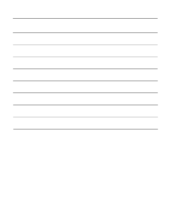|  | - |
|--|---|
|  |   |
|  |   |
|  |   |
|  |   |
|  |   |
|  |   |
|  |   |
|  |   |
|  |   |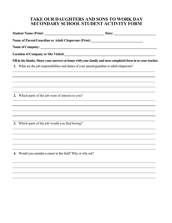#### **TAKE OUR DAUGHTERS AND SONS TO WORK DAY SECONDARY SCHOOL STUDENT ACTIVITY FORM**

|    | Name of Parent/Guardian or Adult Chaperone (Print)______________________________                            |
|----|-------------------------------------------------------------------------------------------------------------|
|    |                                                                                                             |
|    |                                                                                                             |
|    | Fill in the blanks. Share your answers at home with your family and turn completed form in to your teacher. |
|    | 1. What are the job responsibilities and duties of your parent/guardian or adult chaperone?                 |
|    |                                                                                                             |
|    |                                                                                                             |
|    |                                                                                                             |
|    | 2. Which parts of the job were of interest to you?                                                          |
|    |                                                                                                             |
|    |                                                                                                             |
|    |                                                                                                             |
|    | 3. Which parts of the job would you find boring?                                                            |
|    |                                                                                                             |
|    |                                                                                                             |
|    |                                                                                                             |
| 4. | Would you consider a career in this field? Why or why not?                                                  |